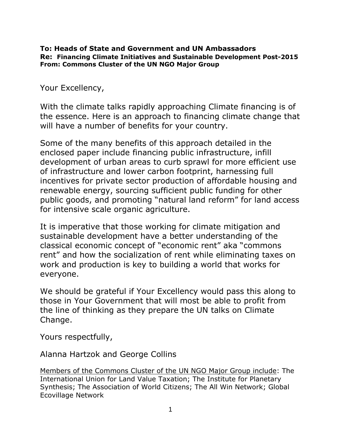### **To: Heads of State and Government and UN Ambassadors Re: Financing Climate Initiatives and Sustainable Development Post-2015 From: Commons Cluster of the UN NGO Major Group**

Your Excellency,

With the climate talks rapidly approaching Climate financing is of the essence. Here is an approach to financing climate change that will have a number of benefits for your country.

Some of the many benefits of this approach detailed in the enclosed paper include financing public infrastructure, infill development of urban areas to curb sprawl for more efficient use of infrastructure and lower carbon footprint, harnessing full incentives for private sector production of affordable housing and renewable energy, sourcing sufficient public funding for other public goods, and promoting "natural land reform" for land access for intensive scale organic agriculture.

It is imperative that those working for climate mitigation and sustainable development have a better understanding of the classical economic concept of "economic rent" aka "commons rent" and how the socialization of rent while eliminating taxes on work and production is key to building a world that works for everyone.

We should be grateful if Your Excellency would pass this along to those in Your Government that will most be able to profit from the line of thinking as they prepare the UN talks on Climate Change.

Yours respectfully,

Alanna Hartzok and George Collins

Members of the Commons Cluster of the UN NGO Major Group include: The International Union for Land Value Taxation; The Institute for Planetary Synthesis; The Association of World Citizens; The All Win Network; Global Ecovillage Network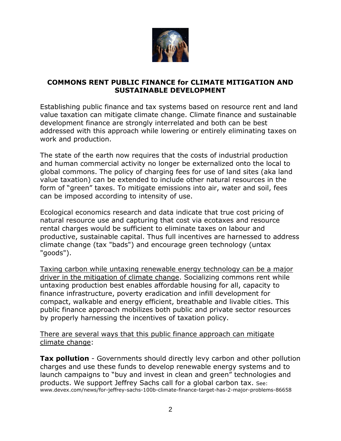

### **COMMONS RENT PUBLIC FINANCE for CLIMATE MITIGATION AND SUSTAINABLE DEVELOPMENT**

Establishing public finance and tax systems based on resource rent and land value taxation can mitigate climate change. Climate finance and sustainable development finance are strongly interrelated and both can be best addressed with this approach while lowering or entirely eliminating taxes on work and production.

The state of the earth now requires that the costs of industrial production and human commercial activity no longer be externalized onto the local to global commons. The policy of charging fees for use of land sites (aka land value taxation) can be extended to include other natural resources in the form of "green" taxes. To mitigate emissions into air, water and soil, fees can be imposed according to intensity of use.

Ecological economics research and data indicate that true cost pricing of natural resource use and capturing that cost via ecotaxes and resource rental charges would be sufficient to eliminate taxes on labour and productive, sustainable capital. Thus full incentives are harnessed to address climate change (tax "bads") and encourage green technology (untax "goods").

Taxing carbon while untaxing renewable energy technology can be a major driver in the mitigation of climate change. Socializing commons rent while untaxing production best enables affordable housing for all, capacity to finance infrastructure, poverty eradication and infill development for compact, walkable and energy efficient, breathable and livable cities. This public finance approach mobilizes both public and private sector resources by properly harnessing the incentives of taxation policy.

There are several ways that this public finance approach can mitigate climate change:

**Tax pollution** - Governments should directly levy carbon and other pollution charges and use these funds to develop renewable energy systems and to launch campaigns to "buy and invest in clean and green" technologies and products. We support Jeffrey Sachs call for a global carbon tax. See: www.devex.com/news/for-jeffrey-sachs-100b-climate-finance-target-has-2-major-problems-86658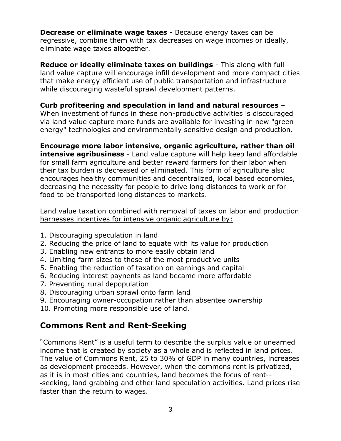**Decrease or eliminate wage taxes** - Because energy taxes can be regressive, combine them with tax decreases on wage incomes or ideally, eliminate wage taxes altogether.

**Reduce or ideally eliminate taxes on buildings** - This along with full land value capture will encourage infill development and more compact cities that make energy efficient use of public transportation and infrastructure while discouraging wasteful sprawl development patterns.

## **Curb profiteering and speculation in land and natural resources** –

When investment of funds in these non-productive activities is discouraged via land value capture more funds are available for investing in new "green energy" technologies and environmentally sensitive design and production.

**Encourage more labor intensive, organic agriculture, rather than oil intensive agribusiness** - Land value capture will help keep land affordable for small farm agriculture and better reward farmers for their labor when their tax burden is decreased or eliminated. This form of agriculture also encourages healthy communities and decentralized, local based economies, decreasing the necessity for people to drive long distances to work or for

Land value taxation combined with removal of taxes on labor and production harnesses incentives for intensive organic agriculture by:

- 1. Discouraging speculation in land
- 2. Reducing the price of land to equate with its value for production
- 3. Enabling new entrants to more easily obtain land

food to be transported long distances to markets.

- 4. Limiting farm sizes to those of the most productive units
- 5. Enabling the reduction of taxation on earnings and capital
- 6. Reducing interest paynents as land became more affordable
- 7. Preventing rural depopulation
- 8. Discouraging urban sprawl onto farm land
- 9. Encouraging owner-occupation rather than absentee ownership
- 10. Promoting more responsible use of land.

# **Commons Rent and Rent-Seeking**

"Commons Rent" is a useful term to describe the surplus value or unearned income that is created by society as a whole and is reflected in land prices. The value of Commons Rent, 25 to 30% of GDP in many countries, increases as development proceeds. However, when the commons rent is privatized, as it is in most cities and countries, land becomes the focus of rent-- ‐seeking, land grabbing and other land speculation activities. Land prices rise faster than the return to wages.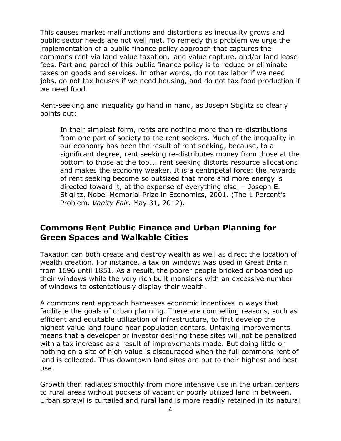This causes market malfunctions and distortions as inequality grows and public sector needs are not well met. To remedy this problem we urge the implementation of a public finance policy approach that captures the commons rent via land value taxation, land value capture, and/or land lease fees. Part and parcel of this public finance policy is to reduce or eliminate taxes on goods and services. In other words, do not tax labor if we need jobs, do not tax houses if we need housing, and do not tax food production if we need food.

Rent-seeking and inequality go hand in hand, as Joseph Stiglitz so clearly points out:

In their simplest form, rents are nothing more than re-distributions from one part of society to the rent seekers. Much of the inequality in our economy has been the result of rent seeking, because, to a significant degree, rent seeking re-distributes money from those at the bottom to those at the top…. rent seeking distorts resource allocations and makes the economy weaker. It is a centripetal force: the rewards of rent seeking become so outsized that more and more energy is directed toward it, at the expense of everything else. – Joseph E. Stiglitz, Nobel Memorial Prize in Economics, 2001. (The 1 Percent's Problem. *Vanity Fair*. May 31, 2012).

## **Commons Rent Public Finance and Urban Planning for Green Spaces and Walkable Cities**

Taxation can both create and destroy wealth as well as direct the location of wealth creation. For instance, a tax on windows was used in Great Britain from 1696 until 1851. As a result, the poorer people bricked or boarded up their windows while the very rich built mansions with an excessive number of windows to ostentatiously display their wealth.

A commons rent approach harnesses economic incentives in ways that facilitate the goals of urban planning. There are compelling reasons, such as efficient and equitable utilization of infrastructure, to first develop the highest value land found near population centers. Untaxing improvements means that a developer or investor desiring these sites will not be penalized with a tax increase as a result of improvements made. But doing little or nothing on a site of high value is discouraged when the full commons rent of land is collected. Thus downtown land sites are put to their highest and best use.

Growth then radiates smoothly from more intensive use in the urban centers to rural areas without pockets of vacant or poorly utilized land in between. Urban sprawl is curtailed and rural land is more readily retained in its natural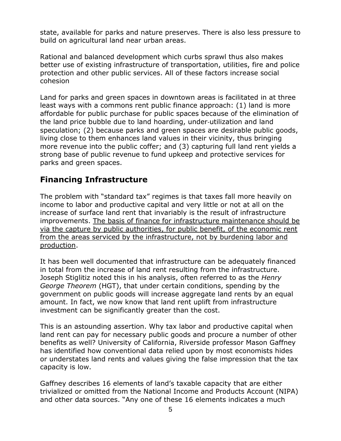state, available for parks and nature preserves. There is also less pressure to build on agricultural land near urban areas.

Rational and balanced development which curbs sprawl thus also makes better use of existing infrastructure of transportation, utilities, fire and police protection and other public services. All of these factors increase social cohesion

Land for parks and green spaces in downtown areas is facilitated in at three least ways with a commons rent public finance approach: (1) land is more affordable for public purchase for public spaces because of the elimination of the land price bubble due to land hoarding, under‐utilization and land speculation; (2) because parks and green spaces are desirable public goods, living close to them enhances land values in their vicinity, thus bringing more revenue into the public coffer; and (3) capturing full land rent yields a strong base of public revenue to fund upkeep and protective services for parks and green spaces.

# **Financing Infrastructure**

The problem with "standard tax" regimes is that taxes fall more heavily on income to labor and productive capital and very little or not at all on the increase of surface land rent that invariably is the result of infrastructure improvements. The basis of finance for infrastructure maintenance should be via the capture by public authorities, for public benefit, of the economic rent from the areas serviced by the infrastructure, not by burdening labor and production.

It has been well documented that infrastructure can be adequately financed in total from the increase of land rent resulting from the infrastructure. Joseph Stiglitiz noted this in his analysis, often referred to as the *Henry George Theorem* (HGT), that under certain conditions, spending by the government on public goods will increase aggregate land rents by an equal amount. In fact, we now know that land rent uplift from infrastructure investment can be significantly greater than the cost.

This is an astounding assertion. Why tax labor and productive capital when land rent can pay for necessary public goods and procure a number of other benefits as well? University of California, Riverside professor Mason Gaffney has identified how conventional data relied upon by most economists hides or understates land rents and values giving the false impression that the tax capacity is low.

Gaffney describes 16 elements of land's taxable capacity that are either trivialized or omitted from the National Income and Products Account (NIPA) and other data sources. "Any one of these 16 elements indicates a much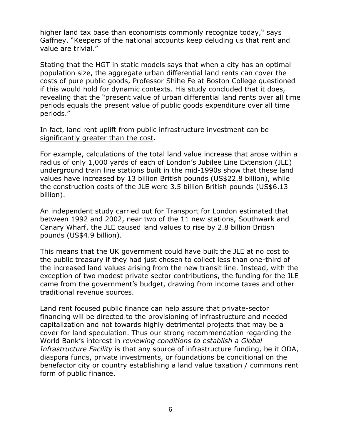higher land tax base than economists commonly recognize today," says Gaffney. "Keepers of the national accounts keep deluding us that rent and value are trivial."

Stating that the HGT in static models says that when a city has an optimal population size, the aggregate urban differential land rents can cover the costs of pure public goods, Professor Shihe Fe at Boston College questioned if this would hold for dynamic contexts. His study concluded that it does, revealing that the "present value of urban differential land rents over all time periods equals the present value of public goods expenditure over all time periods."

In fact, land rent uplift from public infrastructure investment can be significantly greater than the cost.

For example, calculations of the total land value increase that arose within a radius of only 1,000 yards of each of London's Jubilee Line Extension (JLE) underground train line stations built in the mid-1990s show that these land values have increased by 13 billion British pounds (US\$22.8 billion), while the construction costs of the JLE were 3.5 billion British pounds (US\$6.13 billion).

An independent study carried out for Transport for London estimated that between 1992 and 2002, near two of the 11 new stations, Southwark and Canary Wharf, the JLE caused land values to rise by 2.8 billion British pounds (US\$4.9 billion).

This means that the UK government could have built the JLE at no cost to the public treasury if they had just chosen to collect less than one-third of the increased land values arising from the new transit line. Instead, with the exception of two modest private sector contributions, the funding for the JLE came from the government's budget, drawing from income taxes and other traditional revenue sources.

Land rent focused public finance can help assure that private-sector financing will be directed to the provisioning of infrastructure and needed capitalization and not towards highly detrimental projects that may be a cover for land speculation. Thus our strong recommendation regarding the World Bank's interest in *reviewing conditions to establish a Global Infrastructure Facility* is that any source of infrastructure funding, be it ODA, diaspora funds, private investments, or foundations be conditional on the benefactor city or country establishing a land value taxation / commons rent form of public finance.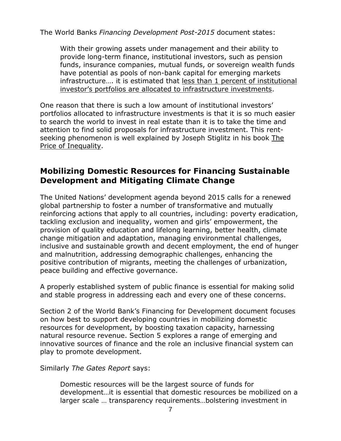The World Banks *Financing Development Post-2015* document states:

With their growing assets under management and their ability to provide long-term finance, institutional investors, such as pension funds, insurance companies, mutual funds, or sovereign wealth funds have potential as pools of non-bank capital for emerging markets infrastructure…. it is estimated that less than 1 percent of institutional investor's portfolios are allocated to infrastructure investments.

One reason that there is such a low amount of institutional investors' portfolios allocated to infrastructure investments is that it is so much easier to search the world to invest in real estate than it is to take the time and attention to find solid proposals for infrastructure investment. This rentseeking phenomenon is well explained by Joseph Stiglitz in his book The Price of Inequality.

# **Mobilizing Domestic Resources for Financing Sustainable Development and Mitigating Climate Change**

The United Nations' development agenda beyond 2015 calls for a renewed global partnership to foster a number of transformative and mutually reinforcing actions that apply to all countries, including: poverty eradication, tackling exclusion and inequality, women and girls' empowerment, the provision of quality education and lifelong learning, better health, climate change mitigation and adaptation, managing environmental challenges, inclusive and sustainable growth and decent employment, the end of hunger and malnutrition, addressing demographic challenges, enhancing the positive contribution of migrants, meeting the challenges of urbanization, peace building and effective governance.

A properly established system of public finance is essential for making solid and stable progress in addressing each and every one of these concerns.

Section 2 of the World Bank's Financing for Development document focuses on how best to support developing countries in mobilizing domestic resources for development, by boosting taxation capacity, harnessing natural resource revenue. Section 5 explores a range of emerging and innovative sources of finance and the role an inclusive financial system can play to promote development.

Similarly *The Gates Report* says:

Domestic resources will be the largest source of funds for development…it is essential that domestic resources be mobilized on a larger scale … transparency requirements…bolstering investment in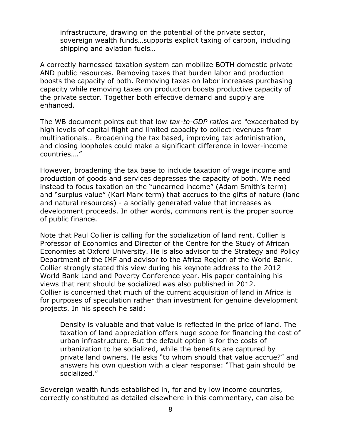infrastructure, drawing on the potential of the private sector, sovereign wealth funds…supports explicit taxing of carbon, including shipping and aviation fuels…

A correctly harnessed taxation system can mobilize BOTH domestic private AND public resources. Removing taxes that burden labor and production boosts the capacity of both. Removing taxes on labor increases purchasing capacity while removing taxes on production boosts productive capacity of the private sector. Together both effective demand and supply are enhanced.

The WB document points out that low *tax-to-GDP ratios are "*exacerbated by high levels of capital flight and limited capacity to collect revenues from multinationals… Broadening the tax based, improving tax administration, and closing loopholes could make a significant difference in lower-income countries…."

However, broadening the tax base to include taxation of wage income and production of goods and services depresses the capacity of both. We need instead to focus taxation on the "unearned income" (Adam Smith's term) and "surplus value" (Karl Marx term) that accrues to the gifts of nature (land and natural resources) - a socially generated value that increases as development proceeds. In other words, commons rent is the proper source of public finance.

Note that Paul Collier is calling for the socialization of land rent. Collier is Professor of Economics and Director of the Centre for the Study of African Economies at Oxford University. He is also advisor to the Strategy and Policy Department of the IMF and advisor to the Africa Region of the World Bank. Collier strongly stated this view during his keynote address to the 2012 World Bank Land and Poverty Conference year. His paper containing his views that rent should be socialized was also published in 2012. Collier is concerned that much of the current acquisition of land in Africa is for purposes of speculation rather than investment for genuine development projects. In his speech he said:

Density is valuable and that value is reflected in the price of land. The taxation of land appreciation offers huge scope for financing the cost of urban infrastructure. But the default option is for the costs of urbanization to be socialized, while the benefits are captured by private land owners. He asks "to whom should that value accrue?" and answers his own question with a clear response: "That gain should be socialized."

Sovereign wealth funds established in, for and by low income countries, correctly constituted as detailed elsewhere in this commentary, can also be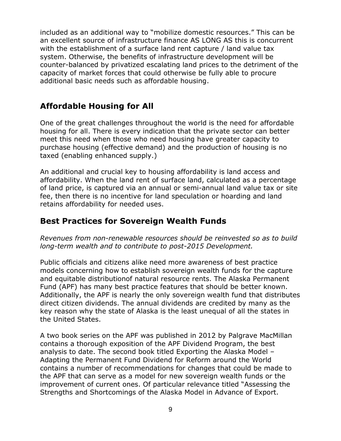included as an additional way to "mobilize domestic resources." This can be an excellent source of infrastructure finance AS LONG AS this is concurrent with the establishment of a surface land rent capture / land value tax system. Otherwise, the benefits of infrastructure development will be counter-balanced by privatized escalating land prices to the detriment of the capacity of market forces that could otherwise be fully able to procure additional basic needs such as affordable housing.

# **Affordable Housing for All**

One of the great challenges throughout the world is the need for affordable housing for all. There is every indication that the private sector can better meet this need when those who need housing have greater capacity to purchase housing (effective demand) and the production of housing is no taxed (enabling enhanced supply.)

An additional and crucial key to housing affordability is land access and affordability. When the land rent of surface land, calculated as a percentage of land price, is captured via an annual or semi-annual land value tax or site fee, then there is no incentive for land speculation or hoarding and land retains affordability for needed uses.

# **Best Practices for Sovereign Wealth Funds**

*Revenues from non-renewable resources should be reinvested so as to build long-term wealth and to contribute to post-2015 Development.*

Public officials and citizens alike need more awareness of best practice models concerning how to establish sovereign wealth funds for the capture and equitable distributionof natural resource rents. The Alaska Permanent Fund (APF) has many best practice features that should be better known. Additionally, the APF is nearly the only sovereign wealth fund that distributes direct citizen dividends. The annual dividends are credited by many as the key reason why the state of Alaska is the least unequal of all the states in the United States.

A two book series on the APF was published in 2012 by Palgrave MacMillan contains a thorough exposition of the APF Dividend Program, the best analysis to date. The second book titled Exporting the Alaska Model – Adapting the Permanent Fund Dividend for Reform around the World contains a number of recommendations for changes that could be made to the APF that can serve as a model for new sovereign wealth funds or the improvement of current ones. Of particular relevance titled "Assessing the Strengths and Shortcomings of the Alaska Model in Advance of Export.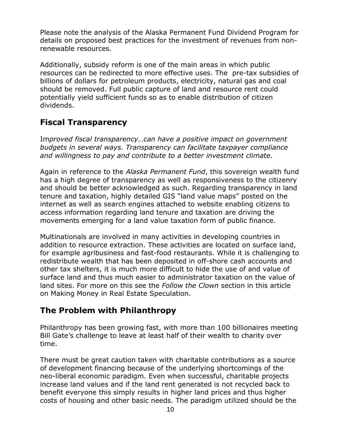Please note the analysis of the Alaska Permanent Fund Dividend Program for details on proposed best practices for the investment of revenues from nonrenewable resources.

Additionally, subsidy reform is one of the main areas in which public resources can be redirected to more effective uses. The pre-tax subsidies of billions of dollars for petroleum products, electricity, natural gas and coal should be removed. Full public capture of land and resource rent could potentially yield sufficient funds so as to enable distribution of citizen dividends.

# **Fiscal Transparency**

Im*proved fiscal transparency…can have a positive impact on government budgets in several ways. Transparency can facilitate taxpayer compliance and willingness to pay and contribute to a better investment climate.*

Again in reference to the *Alaska Permanent Fund*, this sovereign wealth fund has a high degree of transparency as well as responsiveness to the citizenry and should be better acknowledged as such. Regarding transparency in land tenure and taxation, highly detailed GIS "land value maps" posted on the internet as well as search engines attached to website enabling citizens to access information regarding land tenure and taxation are driving the movements emerging for a land value taxation form of public finance.

Multinationals are involved in many activities in developing countries in addition to resource extraction. These activities are located on surface land, for example agribusiness and fast-food restaurants. While it is challenging to redistribute wealth that has been deposited in off-shore cash accounts and other tax shelters, it is much more difficult to hide the use of and value of surface land and thus much easier to administrator taxation on the value of land sites. For more on this see the *Follow the Clown* section in this article on Making Money in Real Estate Speculation.

# **The Problem with Philanthropy**

Philanthropy has been growing fast, with more than 100 billionaires meeting Bill Gate's challenge to leave at least half of their wealth to charity over time.

There must be great caution taken with charitable contributions as a source of development financing because of the underlying shortcomings of the neo-liberal economic paradigm. Even when successful, charitable projects increase land values and if the land rent generated is not recycled back to benefit everyone this simply results in higher land prices and thus higher costs of housing and other basic needs. The paradigm utilized should be the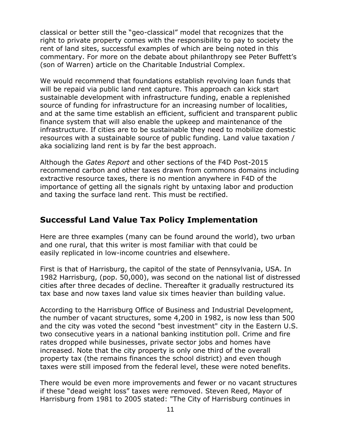classical or better still the "geo-classical" model that recognizes that the right to private property comes with the responsibility to pay to society the rent of land sites, successful examples of which are being noted in this commentary. For more on the debate about philanthropy see Peter Buffett's (son of Warren) article on the Charitable Industrial Complex.

We would recommend that foundations establish revolving loan funds that will be repaid via public land rent capture. This approach can kick start sustainable development with infrastructure funding, enable a replenished source of funding for infrastructure for an increasing number of localities, and at the same time establish an efficient, sufficient and transparent public finance system that will also enable the upkeep and maintenance of the infrastructure. If cities are to be sustainable they need to mobilize domestic resources with a sustainable source of public funding. Land value taxation / aka socializing land rent is by far the best approach.

Although the *Gates Report* and other sections of the F4D Post-2015 recommend carbon and other taxes drawn from commons domains including extractive resource taxes, there is no mention anywhere in F4D of the importance of getting all the signals right by untaxing labor and production and taxing the surface land rent. This must be rectified.

# **Successful Land Value Tax Policy Implementation**

Here are three examples (many can be found around the world), two urban and one rural, that this writer is most familiar with that could be easily replicated in low-income countries and elsewhere.

First is that of Harrisburg, the capitol of the state of Pennsylvania, USA. In 1982 Harrisburg, (pop. 50,000), was second on the national list of distressed cities after three decades of decline. Thereafter it gradually restructured its tax base and now taxes land value six times heavier than building value.

According to the Harrisburg Office of Business and Industrial Development, the number of vacant structures, some 4,200 in 1982, is now less than 500 and the city was voted the second "best investment" city in the Eastern U.S. two consecutive years in a national banking institution poll. Crime and fire rates dropped while businesses, private sector jobs and homes have increased. Note that the city property is only one third of the overall property tax (the remains finances the school district) and even though taxes were still imposed from the federal level, these were noted benefits.

There would be even more improvements and fewer or no vacant structures if these "dead weight loss" taxes were removed. Steven Reed, Mayor of Harrisburg from 1981 to 2005 stated: "The City of Harrisburg continues in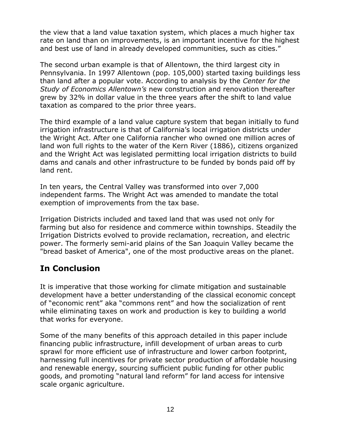the view that a land value taxation system, which places a much higher tax rate on land than on improvements, is an important incentive for the highest and best use of land in already developed communities, such as cities."

The second urban example is that of Allentown, the third largest city in Pennsylvania. In 1997 Allentown (pop. 105,000) started taxing buildings less than land after a popular vote. According to analysis by the *Center for the Study of Economics Allentown's* new construction and renovation thereafter grew by 32% in dollar value in the three years after the shift to land value taxation as compared to the prior three years.

The third example of a land value capture system that began initially to fund irrigation infrastructure is that of California's local irrigation districts under the Wright Act. After one California rancher who owned one million acres of land won full rights to the water of the Kern River (1886), citizens organized and the Wright Act was legislated permitting local irrigation districts to build dams and canals and other infrastructure to be funded by bonds paid off by land rent.

In ten years, the Central Valley was transformed into over 7,000 independent farms. The Wright Act was amended to mandate the total exemption of improvements from the tax base.

Irrigation Districts included and taxed land that was used not only for farming but also for residence and commerce within townships. Steadily the Irrigation Districts evolved to provide reclamation, recreation, and electric power. The formerly semi-arid plains of the San Joaquin Valley became the "bread basket of America", one of the most productive areas on the planet.

# **In Conclusion**

It is imperative that those working for climate mitigation and sustainable development have a better understanding of the classical economic concept of "economic rent" aka "commons rent" and how the socialization of rent while eliminating taxes on work and production is key to building a world that works for everyone.

Some of the many benefits of this approach detailed in this paper include financing public infrastructure, infill development of urban areas to curb sprawl for more efficient use of infrastructure and lower carbon footprint, harnessing full incentives for private sector production of affordable housing and renewable energy, sourcing sufficient public funding for other public goods, and promoting "natural land reform" for land access for intensive scale organic agriculture.